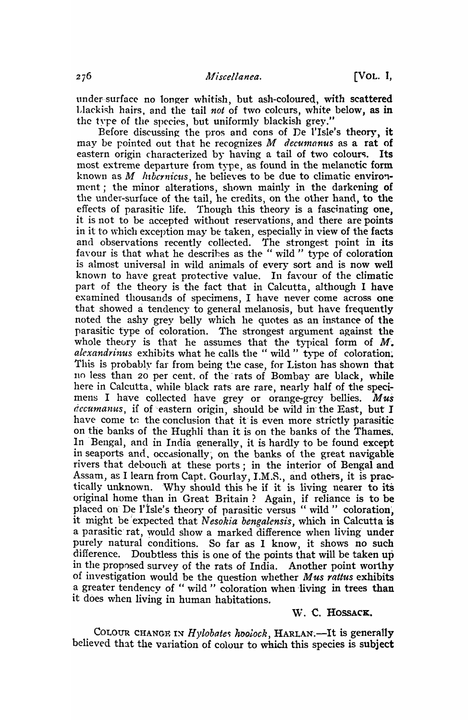under-surface no longer whitish, but ash-coloured, with scattered Llackish hairs, and the tail not of two colcurs, white below, as in the type of the species, but uniformly blackish grey."

Before discussing the pros and cons of De l'Isle's theory, it may be pointed out that he recognizes  $M$  decumanus as a rat of eastern origin characterized by having a tail of two colours. Its most extreme departure from type, as found in the melanotic form known as *M hibcrnicus*, he believes to be due to climatic environment; the minor alterations, shown mainly in the darkening of the under-surface of the tail, he credits, on the other hand, to the effects of parasitic life. Though this theory is a fascinating one, it is not to be accepted without reservations, and there are points in it to which exception may be taken, especially in view of the facts and observations recently collected. The strongest point in its favour is that what he descrihes as the " wild" type of coloration is almost universal in wild animals of every sort and is now well known to have great protective value. In favour of the climatic part of the theory is the fact that in Calcutta, although I have examined thousands of specimens, I have never come across one' that showed a tendency to general melanosis, but have frequently noted the ashy grey belly which he quotes as an instance of the parasitic type of coloration. The strongest argument against the whole theory is that he assumes that the typical form of  $M$ . *alexandrinus* exhibits what he calls the "wild" type of coloration. This is probably far from being the case, for Liston has shown that 110 less than 20 per cent. of the rats of Bombay are black, while here in Calcutta, while black rats are rare, nearly half of the specimens I have collected have grey or orange-grey bellies. *Mus dccumanus*, if of eastern origin, should be wild in the East, but I have come to the conclusion that it is even more strictly parasitic on the banks of the Hughli than it is on the banks of the Thames. In 'Bengal, and in India generally, it is hardly to be found except in seaports and, occasionally, on the banks of the great navigable rivers that debouch at these ports; in the interior of Bengal and Assam, as I learn from Capt. Gourlay, I.M.S., and others, it is practically unknown. Why should this he if it is living nearer to its original home than in Great Britain? Again, if reliance is to be placed on De l'Isle's theory of parasitic versus " wild " coloration, it might be 'expected that *Nesokia bengalensis,* which in Calcutta'is a parasitic rat, would show a marked difference when living under purely natural conditions. So far as I know, it shows no such difference. Doubtless this is one of the points that will be taken up in the proposed survey of the rats of India. Another point worthy of investigation would be the question whether *Mus rattus* exhibits a greater tendency of " wild " coloration when living in trees than it does when living in human habitations.

## W. C. HOSSACK.

COLOUR CHANGE IN *Hylobates hoolock*, HARLAN.—It is generally believed that the variation of colour to which this species is subject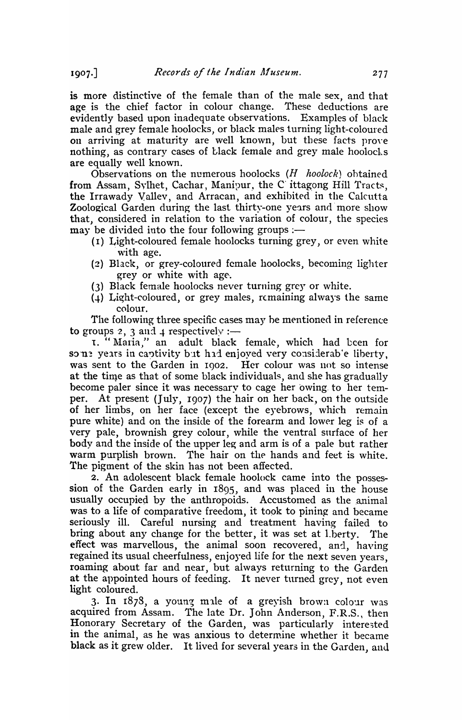is more distinctive of the female than of the male sex, and that age is the chief factor in colour change. These deductions are evidently based upon inadequate observations. Examples of black male and grey female hoolocks, or black males turning light-coloured on arriving at maturity are well known, but these facts prove nothing, as contrary cases of black female and grey male hoolocks are equally well known.

Observations on the numerous hoolocks (*H hoolock*) obtained from Assam, Sylhet, Cachar, Manipur, the C ittagong Hill Tracts, the Irrawady Vallev, and Arracan, and exhibited in the Calcutta Zoological Garden during the last thirty-one years and more show that, considered in relation to the variation of colour, the species may be divided into the four following groups :-

- (1) Light-coloured female hoolocks turning grey, or even white with age.
- (2) Black, or grey-coloured female hoolocks, becoming lighter grey or white with age.
- (3) Black female hoolocks never turning grey or white.
- $(4)$  Light-coloured, or grey males, remaining always the same colour.

The following three specific cases may he mentioned in reference to groups 2, 3 and 4 respectively :-

1. "Maria," an adult black female, which had been for sone years in captivity but had enjoyed very considerab'e liberty, was sent to the Garden in 1902. Her colour was not so intense at the time as that of some black individuals, and she has gradually become paler since it was necessary to cage her owing. to her temper. At present (July, 1907) the hair on her back, on the outside of her limbs, on her face (except the eyebrows, which remain pure white) and on the inside of the forearm and lower leg is of a very pale, brownish grey colour, while the ventral surface of her body and the inside of the upper leg and arm is of a pale but rather warm purplish brown. The hair on the hands and feet is white. The pigment of the skin has not been affected.

2. An adolescent black female hoolock came into the possession of the Garden early in 1895, and was placed in the house usually occupied by the anthropoids. Accustomed as the animal was to a life of comparative freedom, it took to pining and became seriously ill. Careful nursing and treatment having failed to bring about any change for the better, it was set at l.berty. The effect was marvellous, the animal soon recovered, and, having regained its usual cheerfulness, enjoyed life for the next seven years, roaming about far and near, but always returning to the Garden at the appointed hours of feeding. It never turned grey, not even light coloured.

3. In  $1878$ , a young male of a greyish brown colour was acquired from Assam. The late Dr. John Anderson, F.R.S., then Honorary Secretary of the Garden, was particularly interested in the animal, as he was anxious to deterrnine whether it became black as it grew older. It lived for several years in the Garden, and